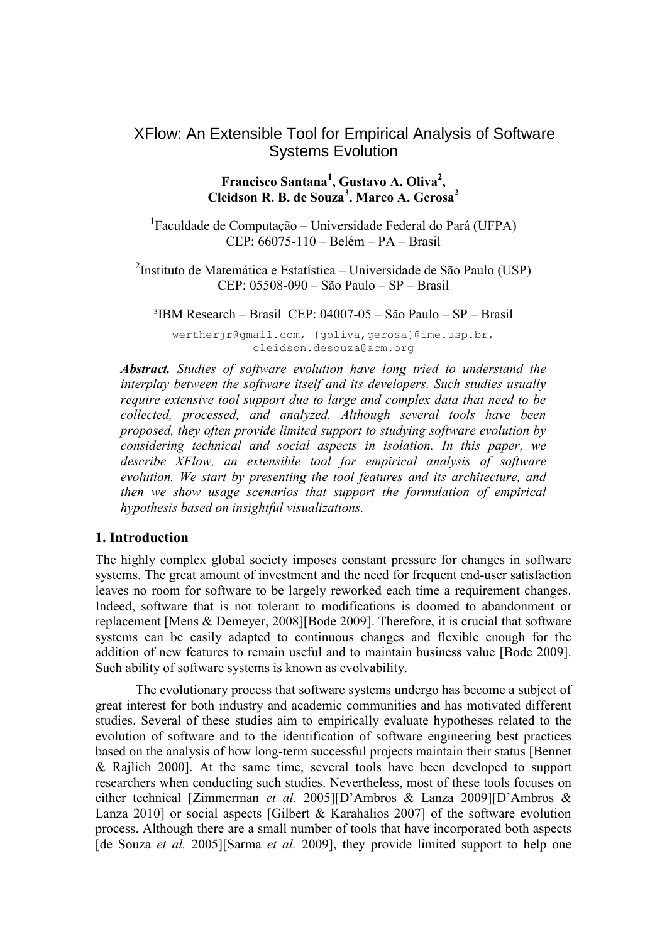# XFlow: An Extensible Tool for Empirical Analysis of Software Systems Evolution

### **Francisco Santana<sup>1</sup> , Gustavo A. Oliva<sup>2</sup> , Cleidson R. B. de Souza<sup>3</sup> , Marco A. Gerosa<sup>2</sup>**

<sup>1</sup>Faculdade de Computação – Universidade Federal do Pará (UFPA) CEP: 66075-110 – Belém – PA – Brasil

<sup>2</sup>Instituto de Matemática e Estatística – Universidade de São Paulo (USP) CEP: 05508-090 – São Paulo – SP – Brasil

<sup>3</sup>IBM Research – Brasil CEP: 04007-05 – São Paulo – SP – Brasil

wertherjr@gmail.com, {goliva,gerosa}@ime.usp.br, cleidson.desouza@acm.org

*Abstract. Studies of software evolution have long tried to understand the interplay between the software itself and its developers. Such studies usually require extensive tool support due to large and complex data that need to be collected, processed, and analyzed. Although several tools have been proposed, they often provide limited support to studying software evolution by considering technical and social aspects in isolation. In this paper, we describe XFlow, an extensible tool for empirical analysis of software evolution. We start by presenting the tool features and its architecture, and then we show usage scenarios that support the formulation of empirical hypothesis based on insightful visualizations.*

#### **1. Introduction**

The highly complex global society imposes constant pressure for changes in software systems. The great amount of investment and the need for frequent end-user satisfaction leaves no room for software to be largely reworked each time a requirement changes. Indeed, software that is not tolerant to modifications is doomed to abandonment or replacement [Mens & Demeyer, 2008][Bode 2009]. Therefore, it is crucial that software systems can be easily adapted to continuous changes and flexible enough for the addition of new features to remain useful and to maintain business value [Bode 2009]. Such ability of software systems is known as evolvability.

The evolutionary process that software systems undergo has become a subject of great interest for both industry and academic communities and has motivated different studies. Several of these studies aim to empirically evaluate hypotheses related to the evolution of software and to the identification of software engineering best practices based on the analysis of how long-term successful projects maintain their status [Bennet & Rajlich 2000]. At the same time, several tools have been developed to support researchers when conducting such studies. Nevertheless, most of these tools focuses on either technical [Zimmerman *et al.* 2005][D'Ambros & Lanza 2009][D'Ambros & Lanza 2010] or social aspects [Gilbert & Karahalios 2007] of the software evolution process. Although there are a small number of tools that have incorporated both aspects [de Souza *et al.* 2005][Sarma *et al.* 2009], they provide limited support to help one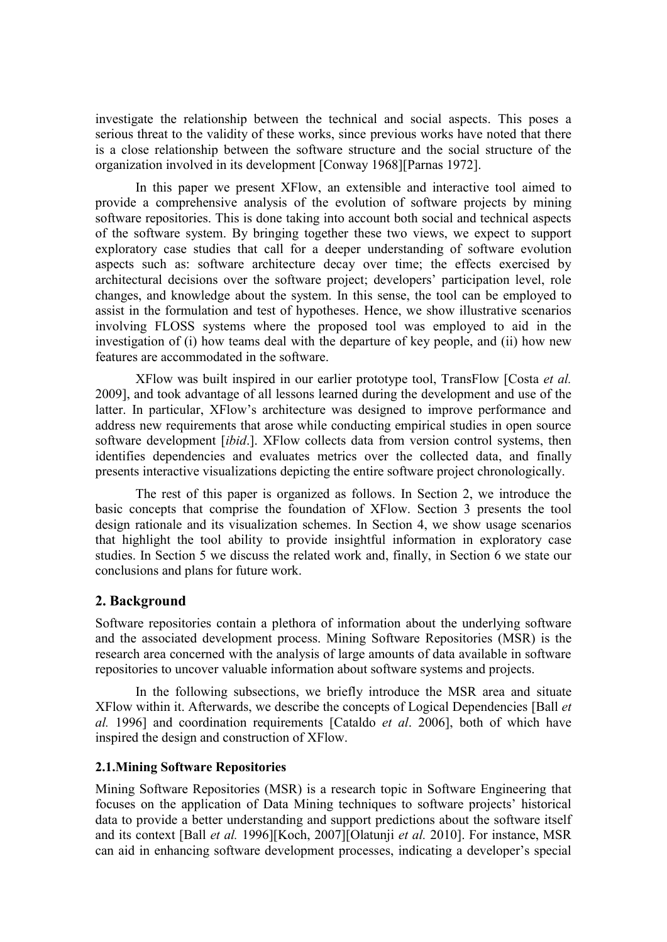investigate the relationship between the technical and social aspects. This poses a serious threat to the validity of these works, since previous works have noted that there is a close relationship between the software structure and the social structure of the organization involved in its development [Conway 1968][Parnas 1972].

In this paper we present XFlow, an extensible and interactive tool aimed to provide a comprehensive analysis of the evolution of software projects by mining software repositories. This is done taking into account both social and technical aspects of the software system. By bringing together these two views, we expect to support exploratory case studies that call for a deeper understanding of software evolution aspects such as: software architecture decay over time; the effects exercised by architectural decisions over the software project; developers' participation level, role changes, and knowledge about the system. In this sense, the tool can be employed to assist in the formulation and test of hypotheses. Hence, we show illustrative scenarios involving FLOSS systems where the proposed tool was employed to aid in the investigation of (i) how teams deal with the departure of key people, and (ii) how new features are accommodated in the software.

XFlow was built inspired in our earlier prototype tool, TransFlow [Costa *et al.*  2009], and took advantage of all lessons learned during the development and use of the latter. In particular, XFlow's architecture was designed to improve performance and address new requirements that arose while conducting empirical studies in open source software development [*ibid*.]. XFlow collects data from version control systems, then identifies dependencies and evaluates metrics over the collected data, and finally presents interactive visualizations depicting the entire software project chronologically.

The rest of this paper is organized as follows. In Section 2, we introduce the basic concepts that comprise the foundation of XFlow. Section 3 presents the tool design rationale and its visualization schemes. In Section 4, we show usage scenarios that highlight the tool ability to provide insightful information in exploratory case studies. In Section 5 we discuss the related work and, finally, in Section 6 we state our conclusions and plans for future work.

### **2. Background**

Software repositories contain a plethora of information about the underlying software and the associated development process. Mining Software Repositories (MSR) is the research area concerned with the analysis of large amounts of data available in software repositories to uncover valuable information about software systems and projects.

In the following subsections, we briefly introduce the MSR area and situate XFlow within it. Afterwards, we describe the concepts of Logical Dependencies [Ball *et al.* 1996] and coordination requirements [Cataldo *et al*. 2006], both of which have inspired the design and construction of XFlow.

#### **2.1.Mining Software Repositories**

Mining Software Repositories (MSR) is a research topic in Software Engineering that focuses on the application of Data Mining techniques to software projects' historical data to provide a better understanding and support predictions about the software itself and its context [Ball *et al.* 1996][Koch, 2007][Olatunji *et al.* 2010]. For instance, MSR can aid in enhancing software development processes, indicating a developer's special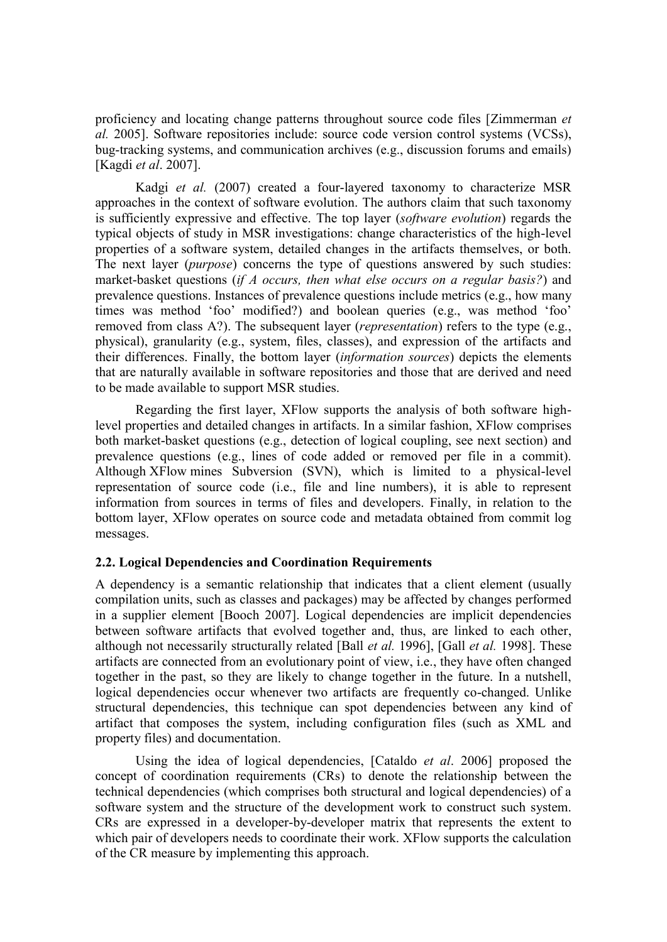proficiency and locating change patterns throughout source code files [Zimmerman *et al.* 2005]. Software repositories include: source code version control systems (VCSs), bug-tracking systems, and communication archives (e.g., discussion forums and emails) [Kagdi *et al*. 2007].

Kadgi *et al.* (2007) created a four-layered taxonomy to characterize MSR approaches in the context of software evolution. The authors claim that such taxonomy is sufficiently expressive and effective. The top layer (*software evolution*) regards the typical objects of study in MSR investigations: change characteristics of the high-level properties of a software system, detailed changes in the artifacts themselves, or both. The next layer (*purpose*) concerns the type of questions answered by such studies: market-basket questions (*if A occurs, then what else occurs on a regular basis?*) and prevalence questions. Instances of prevalence questions include metrics (e.g., how many times was method 'foo' modified?) and boolean queries (e.g., was method 'foo' removed from class A?). The subsequent layer (*representation*) refers to the type (e.g., physical), granularity (e.g., system, files, classes), and expression of the artifacts and their differences. Finally, the bottom layer (*information sources*) depicts the elements that are naturally available in software repositories and those that are derived and need to be made available to support MSR studies.

Regarding the first layer, XFlow supports the analysis of both software highlevel properties and detailed changes in artifacts. In a similar fashion, XFlow comprises both market-basket questions (e.g., detection of logical coupling, see next section) and prevalence questions (e.g., lines of code added or removed per file in a commit). Although XFlow mines Subversion (SVN), which is limited to a physical-level representation of source code (i.e., file and line numbers), it is able to represent information from sources in terms of files and developers. Finally, in relation to the bottom layer, XFlow operates on source code and metadata obtained from commit log messages.

#### **2.2. Logical Dependencies and Coordination Requirements**

A dependency is a semantic relationship that indicates that a client element (usually compilation units, such as classes and packages) may be affected by changes performed in a supplier element [Booch 2007]. Logical dependencies are implicit dependencies between software artifacts that evolved together and, thus, are linked to each other, although not necessarily structurally related [Ball *et al.* 1996], [Gall *et al.* 1998]. These artifacts are connected from an evolutionary point of view, i.e., they have often changed together in the past, so they are likely to change together in the future. In a nutshell, logical dependencies occur whenever two artifacts are frequently co-changed. Unlike structural dependencies, this technique can spot dependencies between any kind of artifact that composes the system, including configuration files (such as XML and property files) and documentation.

Using the idea of logical dependencies, [Cataldo *et al*. 2006] proposed the concept of coordination requirements (CRs) to denote the relationship between the technical dependencies (which comprises both structural and logical dependencies) of a software system and the structure of the development work to construct such system. CRs are expressed in a developer-by-developer matrix that represents the extent to which pair of developers needs to coordinate their work. XFlow supports the calculation of the CR measure by implementing this approach.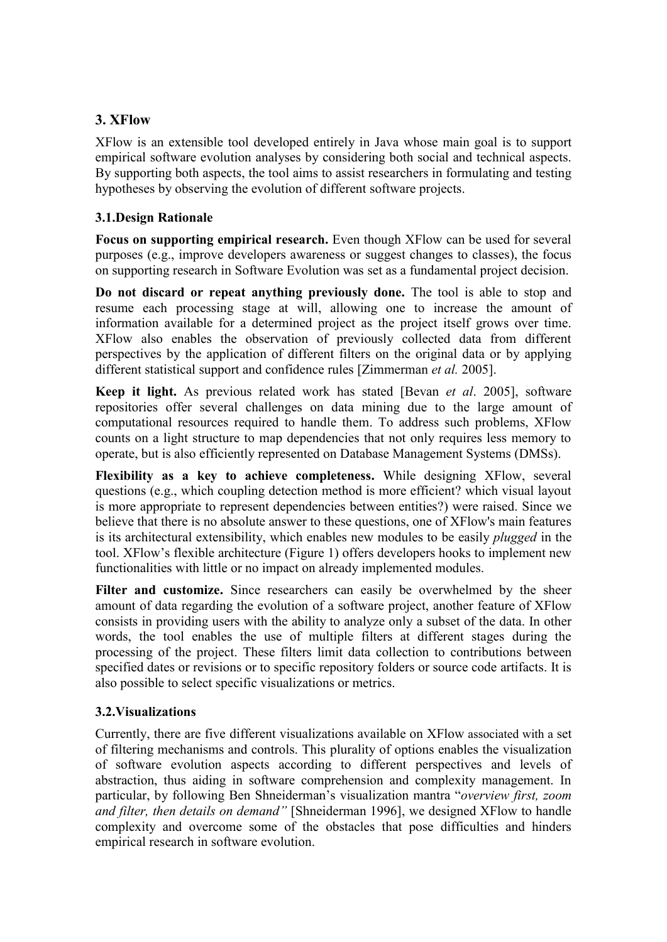## **3. XFlow**

XFlow is an extensible tool developed entirely in Java whose main goal is to support empirical software evolution analyses by considering both social and technical aspects. By supporting both aspects, the tool aims to assist researchers in formulating and testing hypotheses by observing the evolution of different software projects.

### **3.1.Design Rationale**

**Focus on supporting empirical research.** Even though XFlow can be used for several purposes (e.g., improve developers awareness or suggest changes to classes), the focus on supporting research in Software Evolution was set as a fundamental project decision.

**Do not discard or repeat anything previously done.** The tool is able to stop and resume each processing stage at will, allowing one to increase the amount of information available for a determined project as the project itself grows over time. XFlow also enables the observation of previously collected data from different perspectives by the application of different filters on the original data or by applying different statistical support and confidence rules [Zimmerman *et al.* 2005].

**Keep it light.** As previous related work has stated [Bevan *et al*. 2005], software repositories offer several challenges on data mining due to the large amount of computational resources required to handle them. To address such problems, XFlow counts on a light structure to map dependencies that not only requires less memory to operate, but is also efficiently represented on Database Management Systems (DMSs).

**Flexibility as a key to achieve completeness.** While designing XFlow, several questions (e.g., which coupling detection method is more efficient? which visual layout is more appropriate to represent dependencies between entities?) were raised. Since we believe that there is no absolute answer to these questions, one of XFlow's main features is its architectural extensibility, which enables new modules to be easily *plugged* in the tool. XFlow's flexible architecture [\(Figure 1\)](#page-4-0) offers developers hooks to implement new functionalities with little or no impact on already implemented modules.

**Filter and customize.** Since researchers can easily be overwhelmed by the sheer amount of data regarding the evolution of a software project, another feature of XFlow consists in providing users with the ability to analyze only a subset of the data. In other words, the tool enables the use of multiple filters at different stages during the processing of the project. These filters limit data collection to contributions between specified dates or revisions or to specific repository folders or source code artifacts. It is also possible to select specific visualizations or metrics.

### **3.2.Visualizations**

Currently, there are five different visualizations available on XFlow associated with a set of filtering mechanisms and controls. This plurality of options enables the visualization of software evolution aspects according to different perspectives and levels of abstraction, thus aiding in software comprehension and complexity management. In particular, by following Ben Shneiderman's visualization mantra "overview first, zoom *and filter, then details on demand"* [Shneiderman 1996], we designed XFlow to handle complexity and overcome some of the obstacles that pose difficulties and hinders empirical research in software evolution.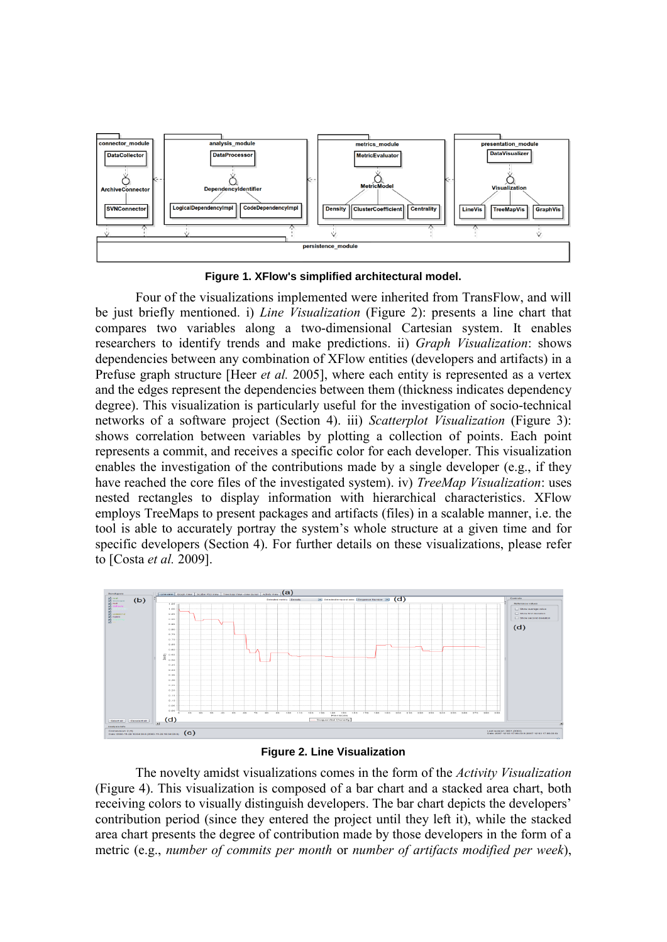

**Figure 1. XFlow's simplified architectural model.**

<span id="page-4-0"></span>Four of the visualizations implemented were inherited from TransFlow, and will be just briefly mentioned. i) *Line Visualization* [\(Figure](#page-4-1) 2): presents a line chart that compares two variables along a two-dimensional Cartesian system. It enables researchers to identify trends and make predictions. ii) *Graph Visualization*: shows dependencies between any combination of XFlow entities (developers and artifacts) in a Prefuse graph structure [Heer *et al.* 2005], where each entity is represented as a vertex and the edges represent the dependencies between them (thickness indicates dependency degree). This visualization is particularly useful for the investigation of socio-technical networks of a software project (Section 4). iii) *Scatterplot Visualization* [\(Figure 3\)](#page-5-0): shows correlation between variables by plotting a collection of points. Each point represents a commit, and receives a specific color for each developer. This visualization enables the investigation of the contributions made by a single developer (e.g., if they have reached the core files of the investigated system). iv) *TreeMap Visualization*: uses nested rectangles to display information with hierarchical characteristics. XFlow employs TreeMaps to present packages and artifacts (files) in a scalable manner, i.e. the tool is able to accurately portray the system's whole structure at a given time and for specific developers (Section 4). For further details on these visualizations, please refer to [Costa *et al.* 2009].



**Figure 2. Line Visualization**

<span id="page-4-1"></span>The novelty amidst visualizations comes in the form of the *Activity Visualization* [\(Figure 4\)](#page-5-1). This visualization is composed of a bar chart and a stacked area chart, both receiving colors to visually distinguish developers. The bar chart depicts the developers' contribution period (since they entered the project until they left it), while the stacked area chart presents the degree of contribution made by those developers in the form of a metric (e.g., *number of commits per month* or *number of artifacts modified per week*),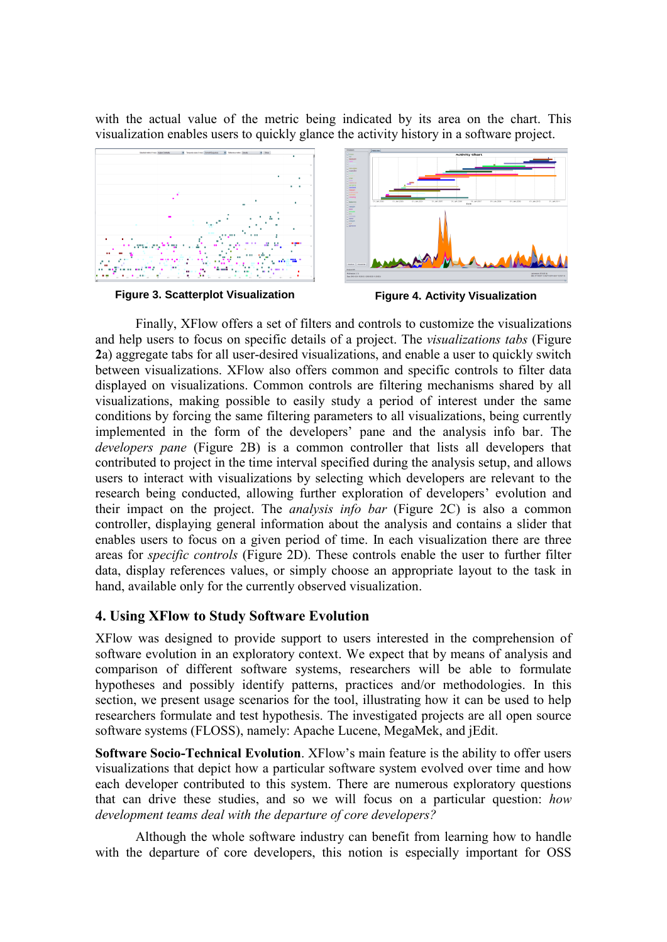with the actual value of the metric being indicated by its area on the chart. This visualization enables users to quickly glance the activity history in a software project.



**Figure 3. Scatterplot Visualization Figure 4. Activity Visualization**

<span id="page-5-1"></span>

<span id="page-5-0"></span>Finally, XFlow offers a set of filters and controls to customize the visualizations and help users to focus on specific details of a project. The *visualizations tabs* [\(Figure](#page-4-1) **[2](#page-4-1)**a) aggregate tabs for all user-desired visualizations, and enable a user to quickly switch between visualizations. XFlow also offers common and specific controls to filter data displayed on visualizations. Common controls are filtering mechanisms shared by all visualizations, making possible to easily study a period of interest under the same conditions by forcing the same filtering parameters to all visualizations, being currently implemented in the form of the developers' pane and the analysis info bar. The *developers pane* [\(Figure](#page-4-1) 2B) is a common controller that lists all developers that contributed to project in the time interval specified during the analysis setup, and allows users to interact with visualizations by selecting which developers are relevant to the research being conducted, allowing further exploration of developers' evolution and their impact on the project. The *analysis info bar* [\(Figure](#page-4-1) 2C) is also a common controller, displaying general information about the analysis and contains a slider that enables users to focus on a given period of time. In each visualization there are three areas for *specific controls* [\(Figure](#page-4-1) 2D). These controls enable the user to further filter data, display references values, or simply choose an appropriate layout to the task in hand, available only for the currently observed visualization.

### **4. Using XFlow to Study Software Evolution**

XFlow was designed to provide support to users interested in the comprehension of software evolution in an exploratory context. We expect that by means of analysis and comparison of different software systems, researchers will be able to formulate hypotheses and possibly identify patterns, practices and/or methodologies. In this section, we present usage scenarios for the tool, illustrating how it can be used to help researchers formulate and test hypothesis. The investigated projects are all open source software systems (FLOSS), namely: Apache Lucene, MegaMek, and jEdit.

**Software Socio-Technical Evolution**. XFlow's main feature is the ability to offer users visualizations that depict how a particular software system evolved over time and how each developer contributed to this system. There are numerous exploratory questions that can drive these studies, and so we will focus on a particular question: *how development teams deal with the departure of core developers?*

Although the whole software industry can benefit from learning how to handle with the departure of core developers, this notion is especially important for OSS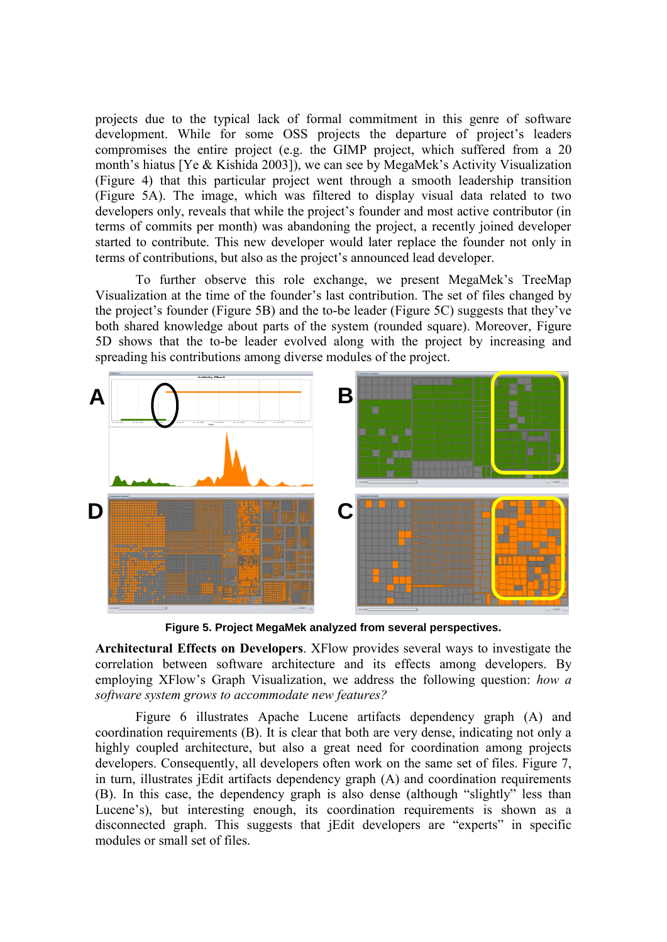projects due to the typical lack of formal commitment in this genre of software development. While for some OSS projects the departure of project's leaders compromises the entire project (e.g. the GIMP project, which suffered from a 20 month's hiatus [Ye & Kishida 2003]), we can see by MegaMek's Activity Visualization (Figure 4) that this particular project went through a smooth leadership transition (Figure 5A). The image, which was filtered to display visual data related to two developers only, reveals that while the project's founder and most active contributor (in terms of commits per month) was abandoning the project, a recently joined developer started to contribute. This new developer would later replace the founder not only in terms of contributions, but also as the project's announced lead developer.

To further observe this role exchange, we present MegaMek's TreeMap Visualization at the time of the founder's last contribution. The set of files changed by the project's founder (Figure 5B) and the to-be leader (Figure 5C) suggests that they've both shared knowledge about parts of the system (rounded square). Moreover, Figure 5D shows that the to-be leader evolved along with the project by increasing and spreading his contributions among diverse modules of the project.



**Figure 5. Project MegaMek analyzed from several perspectives.**

**Architectural Effects on Developers**. XFlow provides several ways to investigate the correlation between software architecture and its effects among developers. By employing XFlow's Graph Visualization, we address the following question: *how a software system grows to accommodate new features?*

Figure 6 illustrates Apache Lucene artifacts dependency graph (A) and coordination requirements (B). It is clear that both are very dense, indicating not only a highly coupled architecture, but also a great need for coordination among projects developers. Consequently, all developers often work on the same set of files. Figure 7, in turn, illustrates jEdit artifacts dependency graph (A) and coordination requirements (B). In this case, the dependency graph is also dense (although "slightly" less than Lucene's), but interesting enough, its coordination requirements is shown as a disconnected graph. This suggests that jEdit developers are "experts" in specific modules or small set of files.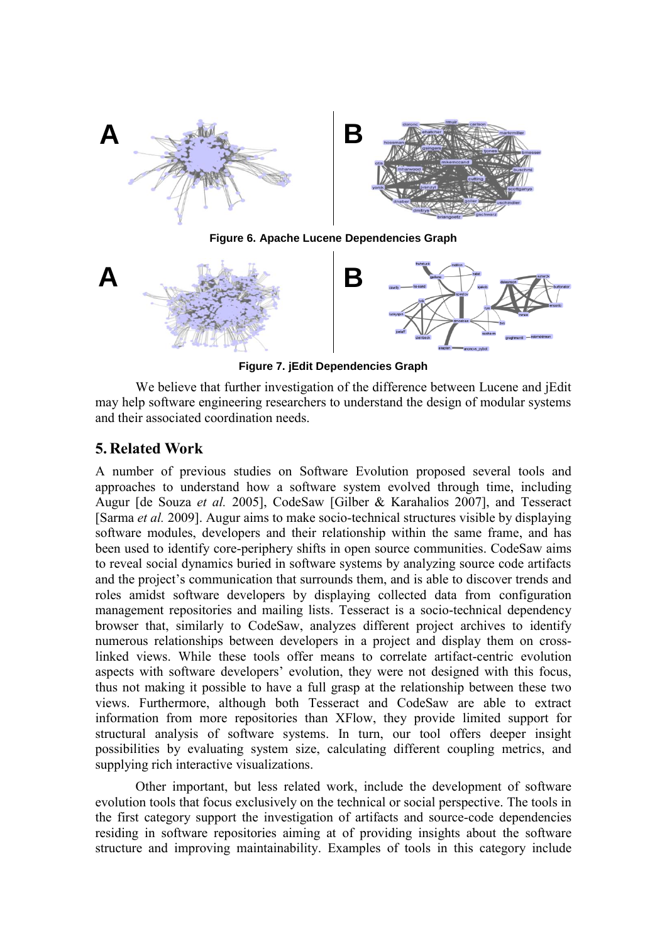

**Figure 6. Apache Lucene Dependencies Graph**



**Figure 7. jEdit Dependencies Graph**

We believe that further investigation of the difference between Lucene and jEdit may help software engineering researchers to understand the design of modular systems and their associated coordination needs.

## **5. Related Work**

A number of previous studies on Software Evolution proposed several tools and approaches to understand how a software system evolved through time, including Augur [de Souza *et al.* 2005], CodeSaw [Gilber & Karahalios 2007], and Tesseract [Sarma *et al.* 2009]. Augur aims to make socio-technical structures visible by displaying software modules, developers and their relationship within the same frame, and has been used to identify core-periphery shifts in open source communities. CodeSaw aims to reveal social dynamics buried in software systems by analyzing source code artifacts and the project's communication that surrounds them, and is able to discover trends and roles amidst software developers by displaying collected data from configuration management repositories and mailing lists. Tesseract is a socio-technical dependency browser that, similarly to CodeSaw, analyzes different project archives to identify numerous relationships between developers in a project and display them on crosslinked views. While these tools offer means to correlate artifact-centric evolution aspects with software developers' evolution, they were not designed with this focus, thus not making it possible to have a full grasp at the relationship between these two views. Furthermore, although both Tesseract and CodeSaw are able to extract information from more repositories than XFlow, they provide limited support for structural analysis of software systems. In turn, our tool offers deeper insight possibilities by evaluating system size, calculating different coupling metrics, and supplying rich interactive visualizations.

Other important, but less related work, include the development of software evolution tools that focus exclusively on the technical or social perspective. The tools in the first category support the investigation of artifacts and source-code dependencies residing in software repositories aiming at of providing insights about the software structure and improving maintainability. Examples of tools in this category include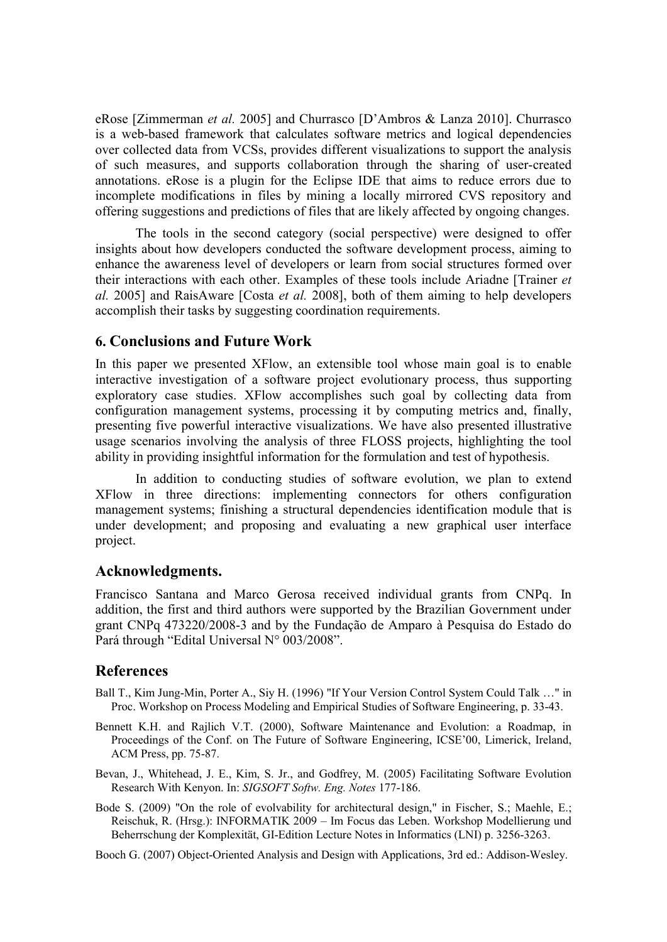eRose [Zimmerman *et al.* 2005] and Churrasco [D'Ambros & Lanza 2010]. Churrasco is a web-based framework that calculates software metrics and logical dependencies over collected data from VCSs, provides different visualizations to support the analysis of such measures, and supports collaboration through the sharing of user-created annotations. eRose is a plugin for the Eclipse IDE that aims to reduce errors due to incomplete modifications in files by mining a locally mirrored CVS repository and offering suggestions and predictions of files that are likely affected by ongoing changes.

The tools in the second category (social perspective) were designed to offer insights about how developers conducted the software development process, aiming to enhance the awareness level of developers or learn from social structures formed over their interactions with each other. Examples of these tools include Ariadne [Trainer *et al.* 2005] and RaisAware [Costa *et al.* 2008], both of them aiming to help developers accomplish their tasks by suggesting coordination requirements.

## **6. Conclusions and Future Work**

In this paper we presented XFlow, an extensible tool whose main goal is to enable interactive investigation of a software project evolutionary process, thus supporting exploratory case studies. XFlow accomplishes such goal by collecting data from configuration management systems, processing it by computing metrics and, finally, presenting five powerful interactive visualizations. We have also presented illustrative usage scenarios involving the analysis of three FLOSS projects, highlighting the tool ability in providing insightful information for the formulation and test of hypothesis.

In addition to conducting studies of software evolution, we plan to extend XFlow in three directions: implementing connectors for others configuration management systems; finishing a structural dependencies identification module that is under development; and proposing and evaluating a new graphical user interface project.

### **Acknowledgments.**

Francisco Santana and Marco Gerosa received individual grants from CNPq. In addition, the first and third authors were supported by the Brazilian Government under grant CNPq 473220/2008-3 and by the Fundação de Amparo à Pesquisa do Estado do Pará through "Edital Universal N° 003/2008".

### **References**

- Ball T., Kim Jung-Min, Porter A., Siy H. (1996) "If Your Version Control System Could Talk …" in Proc. Workshop on Process Modeling and Empirical Studies of Software Engineering, p. 33-43.
- Bennett K.H. and Rajlich V.T. (2000), Software Maintenance and Evolution: a Roadmap, in Proceedings of the Conf. on The Future of Software Engineering, ICSE'00, Limerick, Ireland, ACM Press, pp. 75-87.
- Bevan, J., Whitehead, J. E., Kim, S. Jr., and Godfrey, M. (2005) Facilitating Software Evolution Research With Kenyon. In: *SIGSOFT Softw. Eng. Notes* 177-186.
- Bode S. (2009) "On the role of evolvability for architectural design," in Fischer, S.; Maehle, E.; Reischuk, R. (Hrsg.): INFORMATIK 2009 – Im Focus das Leben. Workshop Modellierung und Beherrschung der Komplexität, GI-Edition Lecture Notes in Informatics (LNI) p. 3256-3263.

Booch G. (2007) Object-Oriented Analysis and Design with Applications, 3rd ed.: Addison-Wesley.